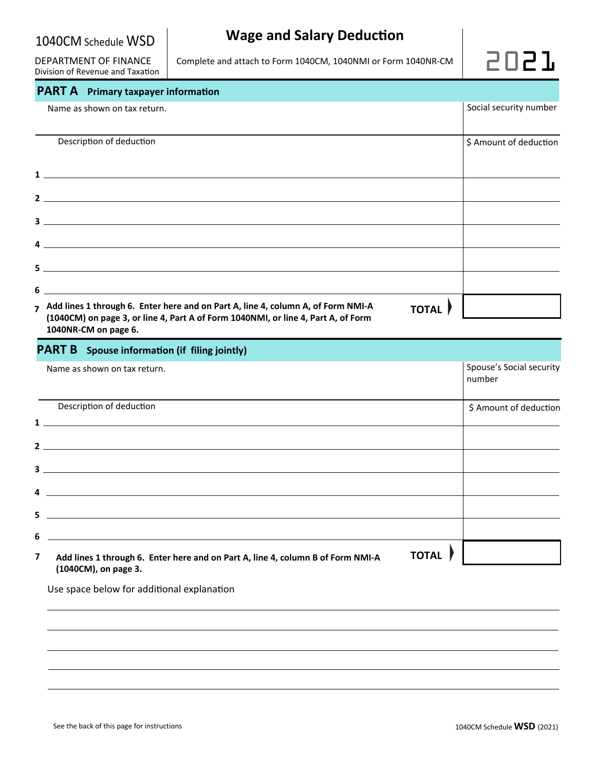DEPARTMENT OF FINANCE Division of Revenue and Taxation Complete and attach to Form 1040CM, 1040NMI or Form 1040NR-CM  $\Box$ 



# **PART A** Primary taxpayer information

|   | Name as shown on tax return.                                                                                                                                                                                                                                                                                                                                                                                                                                                | Social security number |
|---|-----------------------------------------------------------------------------------------------------------------------------------------------------------------------------------------------------------------------------------------------------------------------------------------------------------------------------------------------------------------------------------------------------------------------------------------------------------------------------|------------------------|
|   | Description of deduction                                                                                                                                                                                                                                                                                                                                                                                                                                                    | \$ Amount of deduction |
|   | $\mathbf{1}$ $\overline{\phantom{a}}$ $\overline{\phantom{a}}$ $\overline{\phantom{a}}$ $\overline{\phantom{a}}$ $\overline{\phantom{a}}$ $\overline{\phantom{a}}$ $\overline{\phantom{a}}$ $\overline{\phantom{a}}$ $\overline{\phantom{a}}$ $\overline{\phantom{a}}$ $\overline{\phantom{a}}$ $\overline{\phantom{a}}$ $\overline{\phantom{a}}$ $\overline{\phantom{a}}$ $\overline{\phantom{a}}$ $\overline{\phantom{a}}$ $\overline{\phantom{a}}$ $\overline{\phantom{$ |                        |
|   | $2 \overline{$                                                                                                                                                                                                                                                                                                                                                                                                                                                              |                        |
|   |                                                                                                                                                                                                                                                                                                                                                                                                                                                                             |                        |
|   | $\overline{4}$ $\overline{\phantom{1}}$                                                                                                                                                                                                                                                                                                                                                                                                                                     |                        |
|   |                                                                                                                                                                                                                                                                                                                                                                                                                                                                             |                        |
| 6 |                                                                                                                                                                                                                                                                                                                                                                                                                                                                             |                        |
|   | 7 Add lines 1 through 6. Enter here and on Part A, line 4, column A, of Form NMI-A<br><b>TOTAL</b><br>(1040CM) on page 3, or line 4, Part A of Form 1040NMI, or line 4, Part A, of Form<br>1040NR-CM on page 6.                                                                                                                                                                                                                                                             |                        |

| <b>PART B</b> Spouse information (if filing jointly)                                                                                                                                                                                                                                                                                            |              |                                    |  |
|-------------------------------------------------------------------------------------------------------------------------------------------------------------------------------------------------------------------------------------------------------------------------------------------------------------------------------------------------|--------------|------------------------------------|--|
| Name as shown on tax return.                                                                                                                                                                                                                                                                                                                    |              | Spouse's Social security<br>number |  |
| Description of deduction<br>$\frac{1}{2}$ $\frac{1}{2}$ $\frac{1}{2}$ $\frac{1}{2}$ $\frac{1}{2}$ $\frac{1}{2}$ $\frac{1}{2}$ $\frac{1}{2}$ $\frac{1}{2}$ $\frac{1}{2}$ $\frac{1}{2}$ $\frac{1}{2}$ $\frac{1}{2}$ $\frac{1}{2}$ $\frac{1}{2}$ $\frac{1}{2}$ $\frac{1}{2}$ $\frac{1}{2}$ $\frac{1}{2}$ $\frac{1}{2}$ $\frac{1}{2}$ $\frac{1}{2}$ |              | \$ Amount of deduction             |  |
| $2 \overline{ }$                                                                                                                                                                                                                                                                                                                                |              |                                    |  |
| $\overline{\mathbf{3}}$<br><u> 1989 - Johann Harry Harry Harry Harry Harry Harry Harry Harry Harry Harry Harry Harry Harry Harry Harry Harry</u>                                                                                                                                                                                                |              |                                    |  |
| 4<br><u> 1989 - Johann Stoff, deutscher Stoff, der Stoff, der Stoff, der Stoff, der Stoff, der Stoff, der Stoff, der S</u><br>5                                                                                                                                                                                                                 |              |                                    |  |
| <u> 1989 - Johann Stoff, Amerikaansk politiker († 1908)</u><br>6                                                                                                                                                                                                                                                                                |              |                                    |  |
| $\overline{\phantom{a}}$<br>Add lines 1 through 6. Enter here and on Part A, line 4, column B of Form NMI-A<br>(1040CM), on page 3.                                                                                                                                                                                                             | <b>TOTAL</b> |                                    |  |

Use space below for additional explanation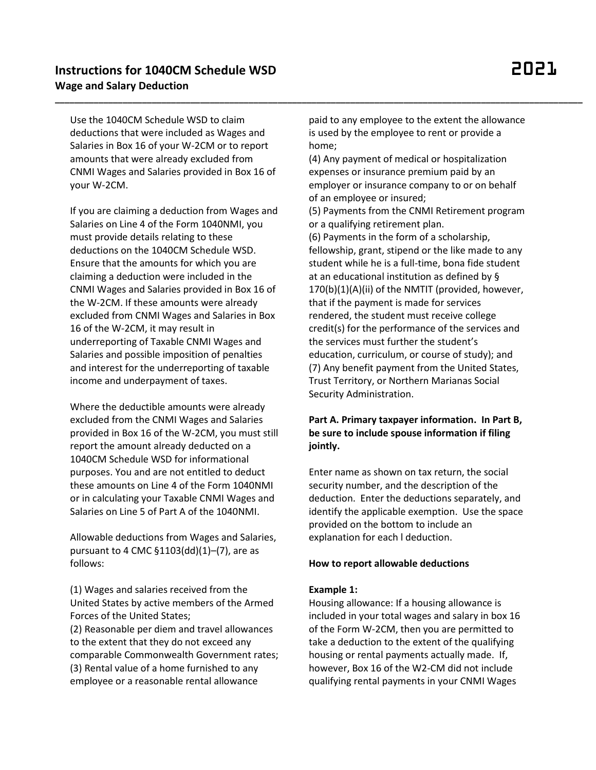Use the 1040CM Schedule WSD to claim deductions that were included as Wages and Salaries in Box 16 of your W-2CM or to report amounts that were already excluded from CNMI Wages and Salaries provided in Box 16 of your W-2CM.

If you are claiming a deduction from Wages and Salaries on Line 4 of the Form 1040NMI, you must provide details relating to these deductions on the 1040CM Schedule WSD. Ensure that the amounts for which you are claiming a deduction were included in the CNMI Wages and Salaries provided in Box 16 of the W-2CM. If these amounts were already excluded from CNMI Wages and Salaries in Box 16 of the W-2CM, it may result in underreporting of Taxable CNMI Wages and Salaries and possible imposition of penalties and interest for the underreporting of taxable income and underpayment of taxes.

Where the deductible amounts were already excluded from the CNMI Wages and Salaries provided in Box 16 of the W-2CM, you must still report the amount already deducted on a 1040CM Schedule WSD for informational purposes. You and are not entitled to deduct these amounts on Line 4 of the Form 1040NMI or in calculating your Taxable CNMI Wages and Salaries on Line 5 of Part A of the 1040NMI.

Allowable deductions from Wages and Salaries, pursuant to 4 CMC §1103(dd)(1)–(7), are as follows:

(1) Wages and salaries received from the United States by active members of the Armed Forces of the United States;

(2) Reasonable per diem and travel allowances to the extent that they do not exceed any comparable Commonwealth Government rates; (3) Rental value of a home furnished to any employee or a reasonable rental allowance

paid to any employee to the extent the allowance is used by the employee to rent or provide a home;

**\_\_\_\_\_\_\_\_\_\_\_\_\_\_\_\_\_\_\_\_\_\_\_\_\_\_\_\_\_\_\_\_\_\_\_\_\_\_\_\_\_\_\_\_\_\_\_\_\_\_\_\_\_\_\_\_\_\_\_\_\_\_\_\_\_\_\_\_\_\_\_\_\_\_\_\_\_\_\_\_\_\_\_\_\_\_\_\_\_\_\_\_\_\_\_\_\_\_\_\_\_\_\_\_\_\_\_\_\_**

(4) Any payment of medical or hospitalization expenses or insurance premium paid by an employer or insurance company to or on behalf of an employee or insured;

(5) Payments from the CNMI Retirement program or a qualifying retirement plan.

(6) Payments in the form of a scholarship, fellowship, grant, stipend or the like made to any student while he is a full-time, bona fide student at an educational institution as defined by § 170(b)(1)(A)(ii) of the NMTIT (provided, however, that if the payment is made for services rendered, the student must receive college credit(s) for the performance of the services and the services must further the student's education, curriculum, or course of study); and (7) Any benefit payment from the United States, Trust Territory, or Northern Marianas Social Security Administration.

# **Part A. Primary taxpayer information. In Part B, be sure to include spouse information if filing jointly.**

Enter name as shown on tax return, the social security number, and the description of the deduction. Enter the deductions separately, and identify the applicable exemption. Use the space provided on the bottom to include an explanation for each l deduction.

#### **How to report allowable deductions**

#### **Example 1:**

Housing allowance: If a housing allowance is included in your total wages and salary in box 16 of the Form W-2CM, then you are permitted to take a deduction to the extent of the qualifying housing or rental payments actually made. If, however, Box 16 of the W2-CM did not include qualifying rental payments in your CNMI Wages